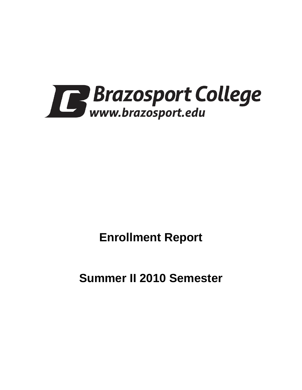

# **Enrollment Report**

**Summer II 2010 Semester**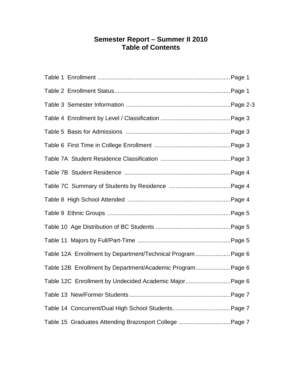# **Semester Report – Summer II 2010 Table of Contents**

| Table 12A Enrollment by Department/Technical Program  Page 6 |
|--------------------------------------------------------------|
| Table 12B Enrollment by Department/Academic Program Page 6   |
| Table 12C Enrollment by Undecided Academic Major Page 6      |
|                                                              |
|                                                              |
| Table 15 Graduates Attending Brazosport College  Page 7      |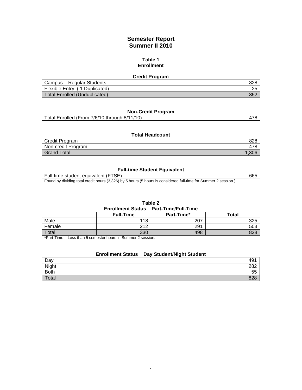# **Semester Report Summer II 2010**

#### **Table 1 Enrollment**

| <b>Credit Program</b>                |     |  |  |
|--------------------------------------|-----|--|--|
| Campus - Regular Students            | 828 |  |  |
| Flexible Entry (1 Duplicated)        |     |  |  |
| <b>Total Enrolled (Unduplicated)</b> | 852 |  |  |

# **Non-Credit Program**

| Total Enrolled (From 7/6/10 through 8/11/10) |  |
|----------------------------------------------|--|
|                                              |  |

#### **Total Headcount**

| Credit Program     | 828  |
|--------------------|------|
| Non-credit Program | 478  |
| <b>Grand Total</b> | .306 |

### **Full-time Student Equivalent**

| Full-time student equivalent (FTSE)                                                                            | 66! |
|----------------------------------------------------------------------------------------------------------------|-----|
| Found by dividing total anadit bours (2.220) by E hours (E hours is considered full time for Cummar 2 session) |     |

Found by dividing total credit hours (3,326) by 5 hours (5 hours is considered full-time for Summer 2 session.)

**Table 2 Enrollment Status Part-Time/Full-Time**

|        | <b>Full-Time</b> | Part-Time* | <b>Total</b> |
|--------|------------------|------------|--------------|
| Male   | 118              | 207        | 325          |
| Female | 242              | 291        | 503          |
| Total  | 330              | 498        | 828          |

\*Part-Time – Less than 5 semester hours in Summer 2 session.

### **Enrollment Status Day Student/Night Student**

| Day         | 49 <sup>4</sup> |
|-------------|-----------------|
| Night       | 282             |
| <b>Both</b> | 55              |
| Total       | 828             |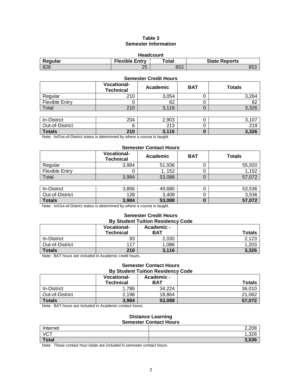# **Table 3 Semester Information**

| <b>Headcount</b> |                       |       |                      |  |
|------------------|-----------------------|-------|----------------------|--|
| Regular          | <b>Flexible Entry</b> | Total | <b>State Reports</b> |  |
| 828              | つに<br>دے              | 853   | 853                  |  |

#### **Semester Credit Hours**

|                       | <b>Vocational-</b><br><b>Technical</b> | Academic | <b>BAT</b> | <b>Totals</b> |
|-----------------------|----------------------------------------|----------|------------|---------------|
| Regular               | 210                                    | 3,054    |            | 3,264         |
| <b>Flexible Entry</b> |                                        | 62       | U          | 62            |
| Total                 | 210                                    | 3,116    | U          | 3,326         |
|                       |                                        |          |            |               |
| In-District           | 204                                    | 2,903    |            | 3,107         |
| Out-of-District       | 6                                      | 213      |            | 219           |
| <b>Totals</b>         | 210                                    | 3,116    | 0          | 3,326         |

Note: In/Out-of-District status is determined by where a course is taught.

#### **Semester Contact Hours**

|                       | <b>Vocational-</b><br><b>Technical</b> | Academic | <b>BAT</b> | <b>Totals</b> |  |
|-----------------------|----------------------------------------|----------|------------|---------------|--|
| Regular               | 3,984                                  | 51,936   |            | 55,920        |  |
| <b>Flexible Entry</b> |                                        | 1, 152   |            | 1,152         |  |
| Total                 | 3,984                                  | 53,088   |            | 57,072        |  |
|                       |                                        |          |            |               |  |

| In-District     | 3,856 | 49,680 | ◡ | 53,536 |
|-----------------|-------|--------|---|--------|
| Out-of-District | 128   | 3,408  |   | 3,536  |
| <b>Totals</b>   | 3,984 | 53,088 |   | 57,072 |

Note: In/Out-of-District status is determined by where a course is taught.

#### **Semester Credit Hours By Student Tuition Residency Code**

|                 | <b>Vocational-</b><br><b>Technical</b> | Academic -<br><b>BAT</b> | <b>Totals</b> |
|-----------------|----------------------------------------|--------------------------|---------------|
| In-District     | 93                                     | 2,030                    | 2,123         |
| Out-of-District | 117                                    | 1,086                    | 1,203         |
| <b>Totals</b>   | 210                                    | 3,116                    | 3,326         |

Note: BAT hours are included in Academic credit hours.

#### **Semester Contact Hours By Student Tuition Residency Code**

| ********************************* |                                        |                          |               |  |  |
|-----------------------------------|----------------------------------------|--------------------------|---------------|--|--|
|                                   | <b>Vocational-</b><br><b>Technical</b> | Academic -<br><b>BAT</b> | <b>Totals</b> |  |  |
|                                   |                                        |                          |               |  |  |
| In-District                       | .786                                   | 34.224                   | 36.010        |  |  |
| Out-of-District                   | 2,198                                  | 18.864                   | 21,062        |  |  |
| <b>Totals</b>                     | 3,984                                  | 53,088                   | 57.072        |  |  |

Note: BAT hours are included in Academic contact hours.

#### **Distance Learning Semester Contact Hours**

| Internet     | 2,208          |
|--------------|----------------|
| <b>VCT</b>   | סרכ ו<br>ס∠כ,⊦ |
| <b>Total</b> | 3,536          |

Note: These contact hour totals are included in semester contact hours.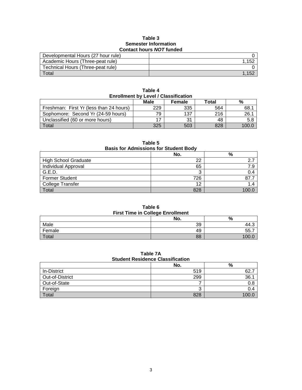#### **Table 3 Semester Information Contact hours** *NOT* **funded**

| Developmental Hours (27 hour rule) |       |  |
|------------------------------------|-------|--|
| Academic Hours (Three-peat rule)   | 1.152 |  |
| Technical Hours (Three-peat rule)  |       |  |
| Total                              |       |  |

| <b>Enrollment by Level / Classification</b> |     |     |     |        |  |  |
|---------------------------------------------|-----|-----|-----|--------|--|--|
| Male<br>%<br>Total<br><b>Female</b>         |     |     |     |        |  |  |
| Freshman: First Yr (less than 24 hours)     | 229 | 335 | 564 | 68.1   |  |  |
| Sophomore: Second Yr (24-59 hours)          | 79  | 137 | 216 | 26.1   |  |  |
| Unclassified (60 or more hours)             |     | 31  | 48  | 5.8    |  |  |
| Total                                       | 325 | 503 | 828 | 100  በ |  |  |

**Table 4**

| Table 5<br><b>Basis for Admissions for Student Body</b> |     |       |  |  |
|---------------------------------------------------------|-----|-------|--|--|
|                                                         | No. | %     |  |  |
| <b>High School Graduate</b>                             | 22  | 2.7   |  |  |
| Individual Approval                                     | 65  | 7.9   |  |  |
| G.E.D.                                                  | 3   | 0.4   |  |  |
| <b>Former Student</b>                                   | 726 | 87.7  |  |  |
| <b>College Transfer</b>                                 | 12  | 1.4   |  |  |
| Total                                                   | 828 | 100.0 |  |  |

**Table 6 First Time in College Enrollment**

| <b>The Time in Concade Enformant</b> |     |                    |  |
|--------------------------------------|-----|--------------------|--|
|                                      | No. | $\mathbf{0}$<br>7ο |  |
| Male                                 | 39  | 44.C               |  |
| Female                               | 49  | 55.                |  |
| otal                                 | 88  |                    |  |

# **Table 7A Student Residence Classification**

|                 | No. | %     |
|-----------------|-----|-------|
| In-District     | 519 | 62.   |
| Out-of-District | 299 | 36.7  |
| Out-of-State    |     | 0.8   |
| Foreign         |     | 0.4   |
| Total           | 828 | 100.0 |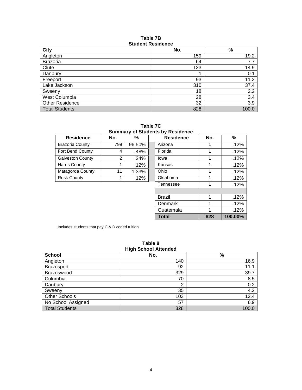#### **Table 7B Student Residence**

| <b>City</b>            | No. | $\%$  |
|------------------------|-----|-------|
| Angleton               | 159 | 19.2  |
| <b>Brazoria</b>        | 64  | 7.7   |
| Clute                  | 123 | 14.9  |
| Danbury                |     | 0.1   |
| Freeport               | 93  | 11.2  |
| Lake Jackson           | 310 | 37.4  |
| Sweeny                 | 18  | 2.2   |
| West Columbia          | 28  | 3.4   |
| <b>Other Residence</b> | 32  | 3.9   |
| <b>Total Students</b>  | 828 | 100.0 |

**Table 7C Summary of Students by Residence**

| <b>Residence</b>        | No. | %       |  | <b>Residence</b> | No. | ℅    |
|-------------------------|-----|---------|--|------------------|-----|------|
| <b>Brazoria County</b>  | 799 | 96.50%  |  | Arizona          |     | .12% |
| Fort Bend County        | 4   | .48%    |  | Florida          |     | .12% |
| <b>Galveston County</b> | 2   | .24%    |  | lowa             | 1   | .12% |
| Harris County           |     | $.12\%$ |  | Kansas           | 1   | .12% |
| Matagorda County        | 11  | 1.33%   |  | Ohio             |     | .12% |
| <b>Rusk County</b>      |     | .12%    |  | Oklahoma         |     | .12% |
|                         |     |         |  | Tennessee        | 1   | .12% |
|                         |     |         |  |                  |     |      |
|                         |     |         |  | <b>Brazil</b>    | 1   | .12% |
|                         |     |         |  | Denmark          | 1   | .12% |
|                         |     |         |  | Guatemala        |     | .12% |

Includes students that pay C & D coded tuition.

| ט טושוי<br><b>High School Attended</b> |     |       |  |
|----------------------------------------|-----|-------|--|
| <b>School</b>                          | No. | $\%$  |  |
| Angleton                               | 140 | 16.9  |  |
| <b>Brazosport</b>                      | 92  | 11.1  |  |
| Brazoswood                             | 329 | 39.7  |  |
| Columbia                               | 70  | 8.5   |  |
| Danbury                                | 2   | 0.2   |  |
| Sweeny                                 | 35  | 4.2   |  |
| Other Schools                          | 103 | 12.4  |  |
| No School Assigned                     | 57  | 6.9   |  |
| <b>Total Students</b>                  | 828 | 100.0 |  |

# **Table 8**

**Total 828 100.00%**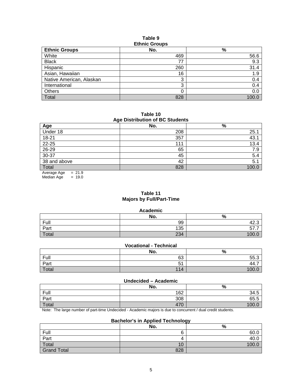#### **Table 9 Ethnic Groups**

| Lunno Oroups             |     |      |  |  |
|--------------------------|-----|------|--|--|
| <b>Ethnic Groups</b>     | No. | %    |  |  |
| White                    | 469 | 56.6 |  |  |
| <b>Black</b>             | 77  | 9.3  |  |  |
| Hispanic                 | 260 | 31.4 |  |  |
| Asian, Hawaiian          | 16  | 1.9  |  |  |
| Native American, Alaskan | 3   | 0.4  |  |  |
| International            | 3   | 0.4  |  |  |
| <b>Others</b>            |     | 0.0  |  |  |
| Total                    | 828 | 100. |  |  |

**Table 10 Age Distribution of BC Students**

| Age Distribution of Do Otaquitto |     |       |  |  |
|----------------------------------|-----|-------|--|--|
| Age                              | No. | $\%$  |  |  |
| Under 18                         | 208 | 25.1  |  |  |
| 18-21                            | 357 | 43.1  |  |  |
| $22 - 25$                        | 111 | 13.4  |  |  |
| $26 - 29$                        | 65  | 7.9   |  |  |
| $30 - 37$                        | 45  | 5.4   |  |  |
| 38 and above                     | 42  | 5.1   |  |  |
| Total                            | 828 | 100.C |  |  |
| - - -                            |     |       |  |  |

Average Age = 21.9 Median Age  $= 19.0$ 

# **Table 11 Majors by Full/Part-Time**

#### **Academic**

|       | No. | $\Omega$<br>70 |
|-------|-----|----------------|
| Full  | 99  | ن ۲۰–          |
| Part  | 135 | ິ<br>. .       |
| Total | 234 |                |

# **Vocational - Technical**

|       | No.        | %                                       |
|-------|------------|-----------------------------------------|
| Full  | 63         | 55.3                                    |
| Part  | - 4<br>ັບເ | . .<br>$\overline{\phantom{a}}$<br>44.1 |
| Total | 114        | 1 ሰበ                                    |

#### **Undecided – Academic**

| .     |     |                 |  |  |  |
|-------|-----|-----------------|--|--|--|
|       | No. | $\Omega$<br>7ο  |  |  |  |
| Full  | 162 | 34.5            |  |  |  |
| Part  | 308 | 65.5<br>-       |  |  |  |
| Total | 470 | 10 <sup>c</sup> |  |  |  |

Note: The large number of part-time Undecided - Academic majors is due to concurrent / dual credit students.

# **Bachelor's in Applied Technology**

|                    | No. | %     |
|--------------------|-----|-------|
| Full               | O   | 60.0  |
| Part               | ▵   | 40.0  |
| Total              | 10  | 100.0 |
| <b>Grand Total</b> | 828 |       |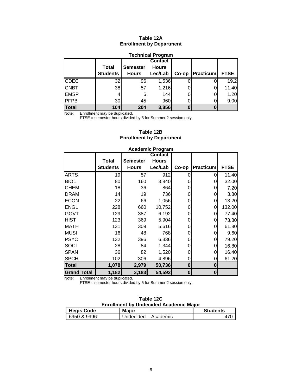# **Table 12A Enrollment by Department**

| <b>Technical Program</b> |                                 |                                 |                                           |       |           |             |  |  |
|--------------------------|---------------------------------|---------------------------------|-------------------------------------------|-------|-----------|-------------|--|--|
|                          | <b>Total</b><br><b>Students</b> | <b>Semester</b><br><b>Hours</b> | <b>Contact</b><br><b>Hours</b><br>Lec/Lab |       | Practicum | <b>FTSE</b> |  |  |
|                          |                                 |                                 |                                           | Co-op |           |             |  |  |
| <b>CDEC</b>              | 32                              | 96                              | 1,536                                     |       |           | 19.2        |  |  |
| <b>CNBT</b>              | 38                              | 57                              | 1,216                                     |       |           | 11.40       |  |  |
| <b>EMSP</b>              |                                 |                                 | 144                                       |       |           | 1.20        |  |  |
| <b>IPFPB</b>             | 30 <sub>l</sub>                 | 45                              | 960                                       |       |           | 9.00        |  |  |
| Total                    | 104                             | 204                             | 3,856                                     |       |           |             |  |  |

Note: Enrollment may be duplicated.

FTSE = semester hours divided by 5 for Summer 2 session only.

| Table 12B                       |
|---------------------------------|
| <b>Enrollment by Department</b> |

|                    |                 | , , , , , , , , , , , | . טישיפ<br><b>Contact</b> |                  |                  |             |
|--------------------|-----------------|-----------------------|---------------------------|------------------|------------------|-------------|
|                    | <b>Total</b>    | <b>Semester</b>       | <b>Hours</b>              |                  |                  |             |
|                    |                 |                       |                           |                  |                  |             |
|                    | <b>Students</b> | <b>Hours</b>          | Lec/Lab                   | Co-op            | <b>Practicum</b> | <b>FTSE</b> |
| <b>ARTS</b>        | 19              | 57                    | 912                       | O                | 0                | 11.40       |
| <b>BIOL</b>        | 80              | 160                   | 3,840                     | 0                | 0                | 32.00       |
| <b>CHEM</b>        | 18              | 36                    | 864                       | 0                | 0                | 7.20        |
| <b>DRAM</b>        | 14              | 19                    | 736                       | 0                | 0                | 3.80        |
| <b>ECON</b>        | 22              | 66                    | 1,056                     | 0                | 0                | 13.20       |
| <b>ENGL</b>        | 228             | 660                   | 10,752                    | 0                | 0                | 132.00      |
| GOVT               | 129             | 387                   | 6,192                     | 0                | 0                | 77.40       |
| <b>HIST</b>        | 123             | 369                   | 5,904                     | 0                | 0                | 73.80       |
| <b>MATH</b>        | 131             | 309                   | 5,616                     | 0                | 0                | 61.80       |
| <b>MUSI</b>        | 16              | 48                    | 768                       | 0                | 0                | 9.60        |
| <b>PSYC</b>        | 132             | 396                   | 6,336                     | 0                | 0                | 79.20       |
| SOCI               | 28              | 84                    | 1,344                     | 0                | 0                | 16.80       |
| <b>SPAN</b>        | 36              | 82                    | 1,520                     | 0                | 0                | 16.40       |
| <b>SPCH</b>        | 102             | 306                   | 4,896                     | 0                | 0                | 61.20       |
| <b>Total</b>       | 1,078           | 2,979                 | 50,736                    | $\bf{0}$         | 0                |             |
| <b>Grand Total</b> | 1,182           | 3,183                 | 54,592                    | $\boldsymbol{0}$ | 0                |             |

#### **Academic Program**

Note: Enrollment may be duplicated.

FTSE = semester hours divided by 5 for Summer 2 session only.

| Table 12C                                     |  |
|-----------------------------------------------|--|
| <b>Enrollment by Undecided Academic Major</b> |  |

| <b>Hegis Code</b> | <b>Major</b>         | <b>Students</b> |
|-------------------|----------------------|-----------------|
| 6950 & 9996       | Undecided – Academic |                 |